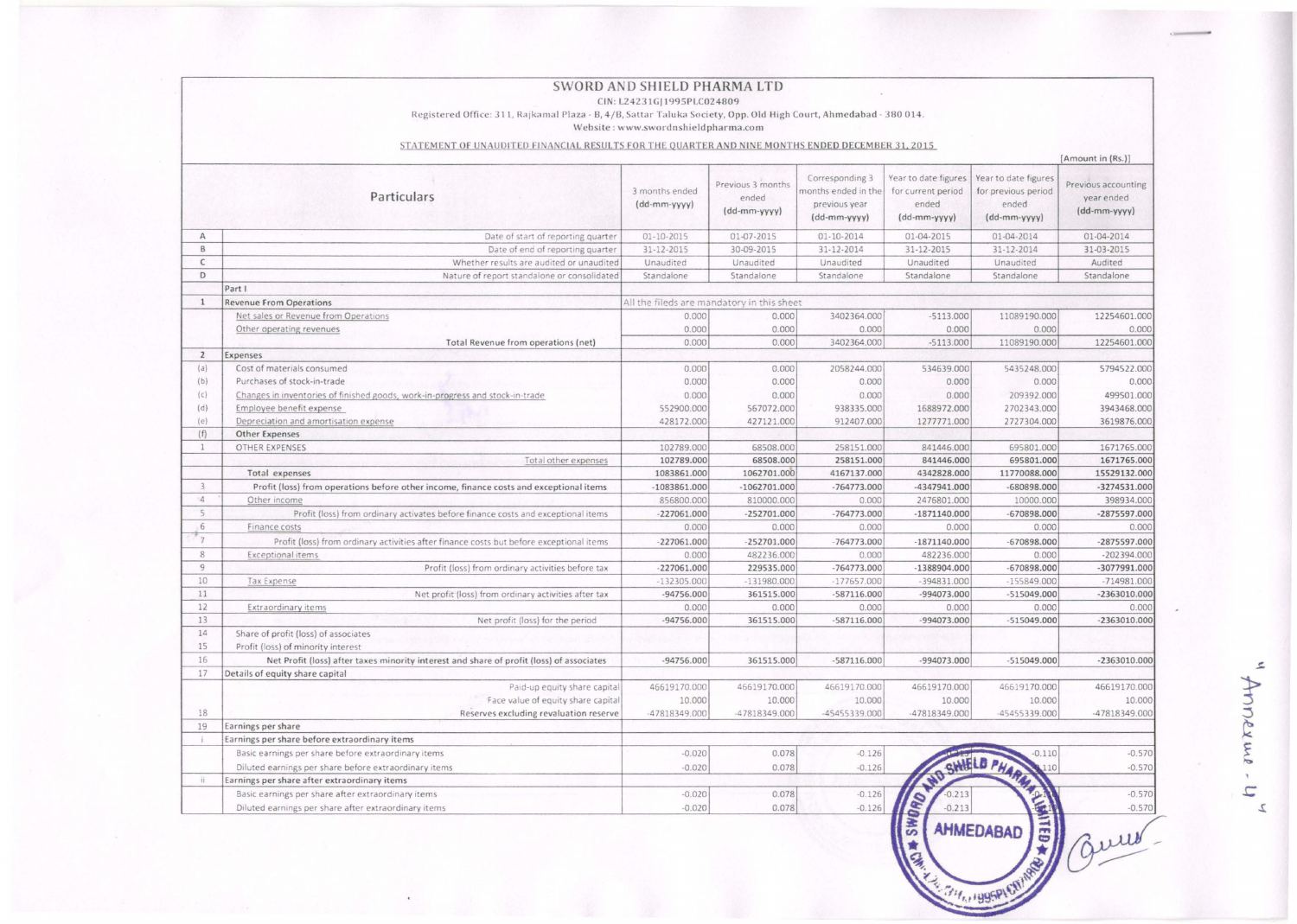|                                                                                                  | Registered Office: 311, Rajkamal Plaza - B, 4/B, Sattar Taluka Society, Opp. Old High Court, Ahmedabad - 380 014. | SWORD AND SHIELD PHARMA LTD<br>CIN: L24231G 1995PLC024809<br>Website: www.swordnshieldpharma.com |                                            |                                                                         |                                                                     |                                                                      |                                                                        |  |  |  |
|--------------------------------------------------------------------------------------------------|-------------------------------------------------------------------------------------------------------------------|--------------------------------------------------------------------------------------------------|--------------------------------------------|-------------------------------------------------------------------------|---------------------------------------------------------------------|----------------------------------------------------------------------|------------------------------------------------------------------------|--|--|--|
| STATEMENT OF UNAUDITED FINANCIAL RESULTS FOR THE QUARTER AND NINE MONTHS ENDED DECEMBER 31, 2015 |                                                                                                                   |                                                                                                  |                                            |                                                                         |                                                                     |                                                                      |                                                                        |  |  |  |
|                                                                                                  | Particulars                                                                                                       | 3 months ended<br>(dd-mm-yyyy)                                                                   | Previous 3 months<br>ended<br>(dd-mm-yyyy) | Corresponding 3<br>months ended in the<br>previous year<br>(dd-mm-yyyy) | Year to date figures<br>for current period<br>ended<br>(dd-mm-yyyy) | Year to date figures<br>for previous period<br>ended<br>(dd-mm-yyyy) | [Amount in (Rs.)]<br>Previous accounting<br>year ended<br>(dd-mm-yyyy) |  |  |  |
| A                                                                                                | Date of start of reporting quarter                                                                                | 01-10-2015                                                                                       | 01-07-2015                                 | 01-10-2014                                                              | 01-04-2015                                                          | 01-04-2014                                                           | 01-04-2014                                                             |  |  |  |
| B                                                                                                | Date of end of reporting quarter                                                                                  | 31-12-2015                                                                                       | 30-09-2015                                 | 31-12-2014                                                              | 31-12-2015                                                          | 31-12-2014                                                           | 31-03-2015                                                             |  |  |  |
| C                                                                                                | Whether results are audited or unaudited                                                                          | Unaudited                                                                                        | Unaudited                                  | Unaudited                                                               | Unaudited                                                           | Unaudited                                                            | Audited                                                                |  |  |  |
| D                                                                                                | Nature of report standalone or consolidated                                                                       | Standalone                                                                                       | Standalone                                 | Standalone                                                              | Standalone                                                          | Standalone                                                           | Standalone                                                             |  |  |  |
|                                                                                                  | Part I                                                                                                            |                                                                                                  |                                            |                                                                         |                                                                     |                                                                      |                                                                        |  |  |  |
| $\mathbf{1}$                                                                                     | <b>Revenue From Operations</b>                                                                                    |                                                                                                  | All the fileds are mandatory in this sheet |                                                                         |                                                                     |                                                                      |                                                                        |  |  |  |
|                                                                                                  | Net sales or Revenue from Operations                                                                              | 0.000                                                                                            | 0.000                                      | 3402364.000                                                             | $-5113.000$                                                         | 11089190.000                                                         | 12254601.000                                                           |  |  |  |
|                                                                                                  | Other operating revenues                                                                                          | 0.000                                                                                            | 0.000                                      | 0.000                                                                   | 0.000                                                               | 0.000                                                                | 0.000                                                                  |  |  |  |
|                                                                                                  | Total Revenue from operations (net)                                                                               | 0.000                                                                                            | 0.000                                      | 3402364.000                                                             | $-5113.000$                                                         | 11089190.000                                                         | 12254601.000                                                           |  |  |  |
| $\overline{2}$                                                                                   | Expenses                                                                                                          |                                                                                                  |                                            |                                                                         |                                                                     |                                                                      |                                                                        |  |  |  |
| (a)                                                                                              | Cost of materials consumed                                                                                        | 0.000                                                                                            | 0.000                                      | 2058244.000                                                             | 534639.000                                                          | 5435248.000                                                          | 5794522.000                                                            |  |  |  |
| (b)                                                                                              | Purchases of stock-in-trade                                                                                       | 0.000                                                                                            | 0.000                                      | 0.000                                                                   | 0.000                                                               | 0.000                                                                | 0.000                                                                  |  |  |  |
| (c)                                                                                              | Changes in inventories of finished goods, work-in-progress and stock-in-trade                                     | 0.000                                                                                            | 0.000                                      | 0.000                                                                   | 0.000                                                               | 209392.000                                                           | 499501.000                                                             |  |  |  |
| (d)                                                                                              | Employee benefit expense                                                                                          | 552900.000                                                                                       | 567072.000                                 | 938335.000                                                              | 1688972.000                                                         | 2702343.000                                                          | 3943468.000                                                            |  |  |  |
| (e)                                                                                              | Depreciation and amortisation expense                                                                             | 428172.000                                                                                       | 427121.000                                 | 912407.000                                                              | 1277771.000                                                         | 2727304.000                                                          | 3619876.000                                                            |  |  |  |
| (f)<br>$\mathbf{1}$                                                                              | Other Expenses                                                                                                    |                                                                                                  | 68508.000                                  |                                                                         |                                                                     |                                                                      | 1671765.000                                                            |  |  |  |
|                                                                                                  | OTHER EXPENSES                                                                                                    | 102789.000                                                                                       |                                            | 258151.000                                                              | 841446.000                                                          | 695801.000                                                           |                                                                        |  |  |  |
|                                                                                                  | Total other expenses<br>Total expenses                                                                            | 102789.000                                                                                       | 68508.000<br>1062701.000                   | 258151.000                                                              | 841446.000                                                          | 695801.000<br>11770088.000                                           | 1671765.000<br>15529132.000                                            |  |  |  |
| 3                                                                                                |                                                                                                                   | 1083861.000                                                                                      |                                            | 4167137.000                                                             | 4342828.000                                                         |                                                                      |                                                                        |  |  |  |
| $\Delta$                                                                                         | Profit (loss) from operations before other income, finance costs and exceptional items                            | $-1083861.000$                                                                                   | $-1062701.000$                             | $-764773.000$                                                           | $-4347941.000$                                                      | -680898.000                                                          | $-3274531.000$                                                         |  |  |  |
| 5                                                                                                | Other income                                                                                                      | 856800.000<br>$-227061.000$                                                                      | 810000.000                                 | 0.000<br>$-764773.000$                                                  | 2476801.000                                                         | 10000.000                                                            | 398934.000                                                             |  |  |  |
| 6                                                                                                | Profit (loss) from ordinary activates before finance costs and exceptional items                                  |                                                                                                  | $-252701.000$                              |                                                                         | $-1871140.000$                                                      | $-670898.000$                                                        | -2875597.000                                                           |  |  |  |
| $\overline{7}$                                                                                   | Finance costs                                                                                                     | 0.000                                                                                            | 0.000                                      | 0.000                                                                   | 0.000                                                               | 0.000                                                                | 0.000                                                                  |  |  |  |
| 8                                                                                                | Profit (loss) from ordinary activities after finance costs but before exceptional items                           | $-227061.000$                                                                                    | $-252701.000$                              | $-764773.000$                                                           | $-1871140.000$                                                      | $-670898.000$                                                        | -2875597.000                                                           |  |  |  |
| $\overline{9}$                                                                                   | Exceptional items                                                                                                 | 0.000                                                                                            | 482236.000                                 | 0.000                                                                   | 482236.000                                                          | 0.000                                                                | $-202394.000$                                                          |  |  |  |
| 10                                                                                               | Profit (loss) from ordinary activities before tax                                                                 | $-227061.000$                                                                                    | 229535.000                                 | $-764773.000$                                                           | $-1388904.000$                                                      | $-670898.000$<br>$-155849.000$                                       | -3077991.000                                                           |  |  |  |
| 11                                                                                               | Tax Expense                                                                                                       | $-132305.000$                                                                                    | $-131980.000$<br>361515.000                | $-177657.000$                                                           | $-394831.000$                                                       | $-515049.000$                                                        | $-714981.000$                                                          |  |  |  |
| 12                                                                                               | Net profit (loss) from ordinary activities after tax<br><b>Extraordinary items</b>                                | $-94756.000$<br>0.000                                                                            | 0.000                                      | $-587116.000$<br>0.000                                                  | -994073.000<br>0.000                                                | 0.000                                                                | $-2363010.000$<br>0.000                                                |  |  |  |
| 13                                                                                               | Net profit (loss) for the period                                                                                  | $-94756.000$                                                                                     | 361515.000                                 | $-587116.000$                                                           | -994073.000                                                         | $-515049.000$                                                        | $-2363010.000$                                                         |  |  |  |
| 14                                                                                               | Share of profit (loss) of associates                                                                              |                                                                                                  |                                            |                                                                         |                                                                     |                                                                      |                                                                        |  |  |  |
| 15                                                                                               | Profit (loss) of minority interest                                                                                |                                                                                                  |                                            |                                                                         |                                                                     |                                                                      |                                                                        |  |  |  |
| 16                                                                                               | Net Profit (loss) after taxes minority interest and share of profit (loss) of associates                          | $-94756.000$                                                                                     | 361515.000                                 | $-587116.000$                                                           | $-994073.000$                                                       | $-515049.000$                                                        | $-2363010.000$                                                         |  |  |  |
| 17                                                                                               | Details of equity share capital                                                                                   |                                                                                                  |                                            |                                                                         |                                                                     |                                                                      |                                                                        |  |  |  |
|                                                                                                  | Paid-up equity share capital                                                                                      | 46619170.000                                                                                     | 46619170.000                               | 46619170.000                                                            | 46619170.000                                                        | 46619170.000                                                         | 46619170.000                                                           |  |  |  |
|                                                                                                  | Face value of equity share capital                                                                                | 10.000                                                                                           | 10.000                                     | 10.000                                                                  | 10.000                                                              | 10.000                                                               | 10.000                                                                 |  |  |  |
| 18                                                                                               | Reserves excluding revaluation reserve                                                                            | -47818349.000                                                                                    | -47818349.000                              | -45455339.000                                                           | -47818349.000                                                       | -45455339.000                                                        | -47818349.000                                                          |  |  |  |
| 19                                                                                               | Earnings per share                                                                                                |                                                                                                  |                                            |                                                                         |                                                                     |                                                                      |                                                                        |  |  |  |
|                                                                                                  | Earnings per share before extraordinary items                                                                     |                                                                                                  |                                            |                                                                         |                                                                     |                                                                      |                                                                        |  |  |  |
|                                                                                                  | Basic earnings per share before extraordinary items                                                               | $-0.020$                                                                                         | 0.078                                      | $-0.126$                                                                |                                                                     | $-0.110$                                                             | $-0.570$                                                               |  |  |  |
|                                                                                                  | Diluted earnings per share before extraordinary items                                                             | $-0.020$                                                                                         | 0.078                                      | $-0.126$                                                                |                                                                     | 110                                                                  | $-0.570$                                                               |  |  |  |
|                                                                                                  | Earnings per share after extraordinary items                                                                      |                                                                                                  |                                            |                                                                         | 126 CHANGE ON BRIDGE OF BRIDGE                                      |                                                                      |                                                                        |  |  |  |
|                                                                                                  | Basic earnings per share after extraordinary items                                                                | $-0.020$                                                                                         | 0.078                                      | $-0.126$                                                                |                                                                     |                                                                      | $-0.570$                                                               |  |  |  |
| îî                                                                                               |                                                                                                                   | $-0.020$                                                                                         | 0.078                                      | $-0.126$                                                                |                                                                     |                                                                      | $-0.570$                                                               |  |  |  |

"Annexure-4"